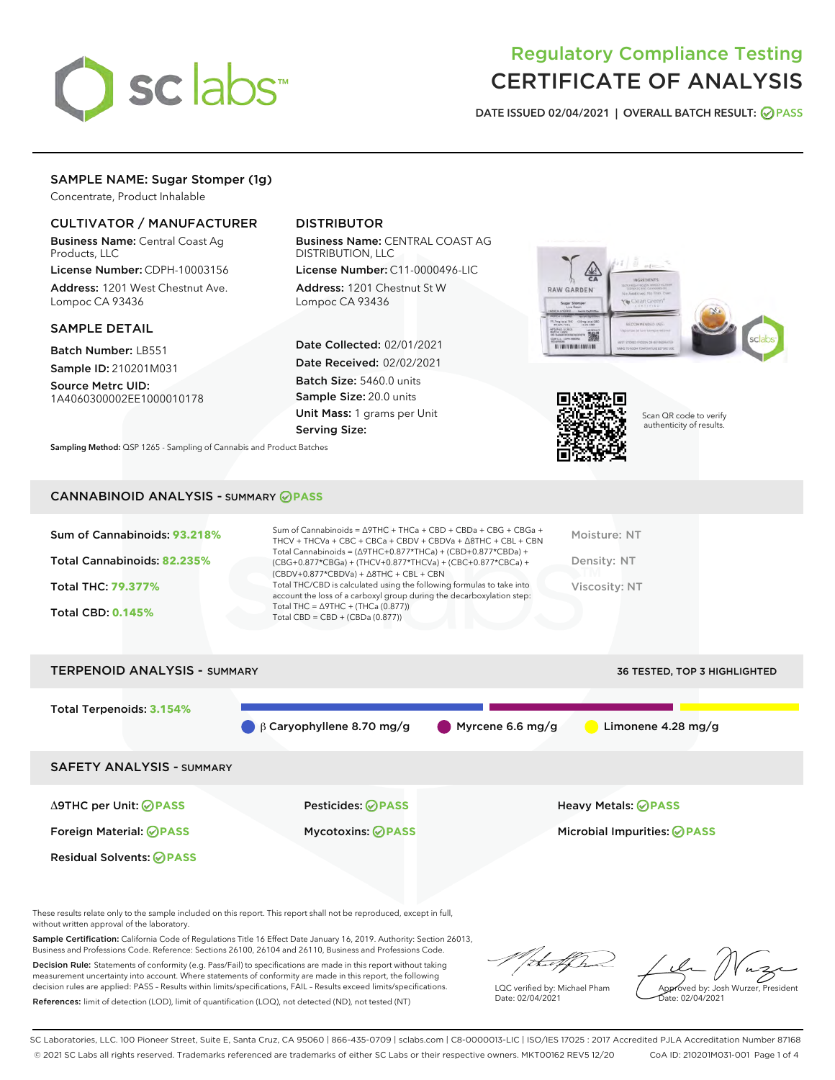

# Regulatory Compliance Testing CERTIFICATE OF ANALYSIS

DATE ISSUED 02/04/2021 | OVERALL BATCH RESULT: @ PASS

# SAMPLE NAME: Sugar Stomper (1g)

Concentrate, Product Inhalable

# CULTIVATOR / MANUFACTURER

Business Name: Central Coast Ag Products, LLC

License Number: CDPH-10003156 Address: 1201 West Chestnut Ave. Lompoc CA 93436

### SAMPLE DETAIL

Batch Number: LB551 Sample ID: 210201M031

Source Metrc UID: 1A4060300002EE1000010178

# DISTRIBUTOR

Business Name: CENTRAL COAST AG DISTRIBUTION, LLC

License Number: C11-0000496-LIC Address: 1201 Chestnut St W Lompoc CA 93436

Date Collected: 02/01/2021 Date Received: 02/02/2021 Batch Size: 5460.0 units Sample Size: 20.0 units Unit Mass: 1 grams per Unit Serving Size:

Scan QR code to verify

RAW GARDEN

authenticity of results.

Sampling Method: QSP 1265 - Sampling of Cannabis and Product Batches

# CANNABINOID ANALYSIS - SUMMARY **PASS**





These results relate only to the sample included on this report. This report shall not be reproduced, except in full, without written approval of the laboratory.

Sample Certification: California Code of Regulations Title 16 Effect Date January 16, 2019. Authority: Section 26013, Business and Professions Code. Reference: Sections 26100, 26104 and 26110, Business and Professions Code.

Decision Rule: Statements of conformity (e.g. Pass/Fail) to specifications are made in this report without taking measurement uncertainty into account. Where statements of conformity are made in this report, the following decision rules are applied: PASS – Results within limits/specifications, FAIL – Results exceed limits/specifications. References: limit of detection (LOD), limit of quantification (LOQ), not detected (ND), not tested (NT)

that f h

LQC verified by: Michael Pham Date: 02/04/2021

Approved by: Josh Wurzer, President ate: 02/04/2021

SC Laboratories, LLC. 100 Pioneer Street, Suite E, Santa Cruz, CA 95060 | 866-435-0709 | sclabs.com | C8-0000013-LIC | ISO/IES 17025 : 2017 Accredited PJLA Accreditation Number 87168 © 2021 SC Labs all rights reserved. Trademarks referenced are trademarks of either SC Labs or their respective owners. MKT00162 REV5 12/20 CoA ID: 210201M031-001 Page 1 of 4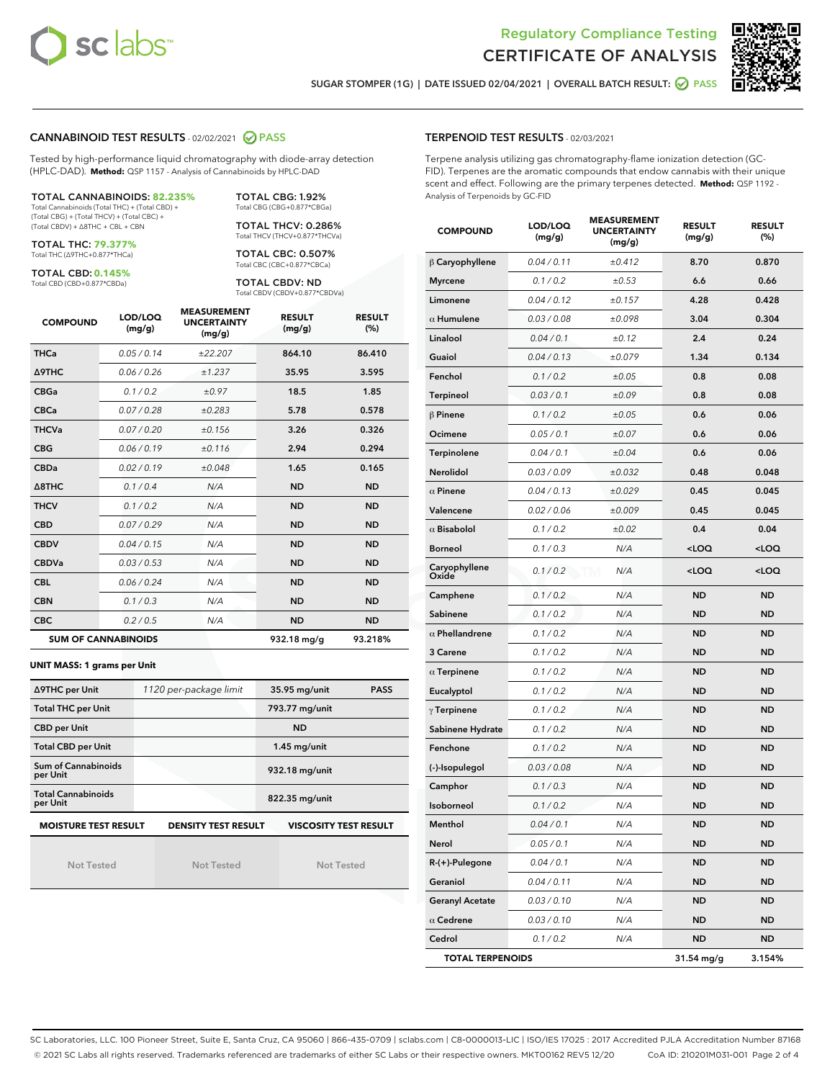



SUGAR STOMPER (1G) | DATE ISSUED 02/04/2021 | OVERALL BATCH RESULT: **○** PASS

## CANNABINOID TEST RESULTS - 02/02/2021 2 PASS

Tested by high-performance liquid chromatography with diode-array detection (HPLC-DAD). **Method:** QSP 1157 - Analysis of Cannabinoids by HPLC-DAD

#### TOTAL CANNABINOIDS: **82.235%**

Total Cannabinoids (Total THC) + (Total CBD) + (Total CBG) + (Total THCV) + (Total CBC) + (Total CBDV) + ∆8THC + CBL + CBN

TOTAL THC: **79.377%** Total THC (∆9THC+0.877\*THCa)

TOTAL CBD: **0.145%**

Total CBD (CBD+0.877\*CBDa)

TOTAL CBG: 1.92% Total CBG (CBG+0.877\*CBGa)

TOTAL THCV: 0.286% Total THCV (THCV+0.877\*THCVa)

TOTAL CBC: 0.507% Total CBC (CBC+0.877\*CBCa)

TOTAL CBDV: ND Total CBDV (CBDV+0.877\*CBDVa)

| <b>COMPOUND</b>            | LOD/LOQ<br>(mg/g) | <b>MEASUREMENT</b><br><b>UNCERTAINTY</b><br>(mg/g) | <b>RESULT</b><br>(mg/g) | <b>RESULT</b><br>(%) |
|----------------------------|-------------------|----------------------------------------------------|-------------------------|----------------------|
| <b>THCa</b>                | 0.05/0.14         | ±22.207                                            | 864.10                  | 86.410               |
| <b>A9THC</b>               | 0.06/0.26         | ±1.237                                             | 35.95                   | 3.595                |
| <b>CBGa</b>                | 0.1 / 0.2         | ±0.97                                              | 18.5                    | 1.85                 |
| <b>CBCa</b>                | 0.07/0.28         | ±0.283                                             | 5.78                    | 0.578                |
| <b>THCVa</b>               | 0.07/0.20         | ±0.156                                             | 3.26                    | 0.326                |
| <b>CBG</b>                 | 0.06/0.19         | ±0.116                                             | 2.94                    | 0.294                |
| <b>CBDa</b>                | 0.02/0.19         | ±0.048                                             | 1.65                    | 0.165                |
| A8THC                      | 0.1 / 0.4         | N/A                                                | <b>ND</b>               | <b>ND</b>            |
| <b>THCV</b>                | 0.1/0.2           | N/A                                                | <b>ND</b>               | <b>ND</b>            |
| <b>CBD</b>                 | 0.07/0.29         | N/A                                                | <b>ND</b>               | <b>ND</b>            |
| <b>CBDV</b>                | 0.04 / 0.15       | N/A                                                | <b>ND</b>               | <b>ND</b>            |
| <b>CBDVa</b>               | 0.03/0.53         | N/A                                                | <b>ND</b>               | <b>ND</b>            |
| <b>CBL</b>                 | 0.06/0.24         | N/A                                                | <b>ND</b>               | <b>ND</b>            |
| <b>CBN</b>                 | 0.1/0.3           | N/A                                                | <b>ND</b>               | <b>ND</b>            |
| <b>CBC</b>                 | 0.2 / 0.5         | N/A                                                | <b>ND</b>               | <b>ND</b>            |
| <b>SUM OF CANNABINOIDS</b> |                   |                                                    | 932.18 mg/g             | 93.218%              |

#### **UNIT MASS: 1 grams per Unit**

| ∆9THC per Unit                                                                            | 1120 per-package limit | 35.95 mg/unit<br><b>PASS</b> |  |  |
|-------------------------------------------------------------------------------------------|------------------------|------------------------------|--|--|
| <b>Total THC per Unit</b>                                                                 |                        | 793.77 mg/unit               |  |  |
| <b>CBD per Unit</b>                                                                       |                        | <b>ND</b>                    |  |  |
| <b>Total CBD per Unit</b>                                                                 |                        | $1.45$ mg/unit               |  |  |
| Sum of Cannabinoids<br>per Unit                                                           |                        | 932.18 mg/unit               |  |  |
| <b>Total Cannabinoids</b><br>per Unit                                                     |                        | 822.35 mg/unit               |  |  |
| <b>MOISTURE TEST RESULT</b><br><b>VISCOSITY TEST RESULT</b><br><b>DENSITY TEST RESULT</b> |                        |                              |  |  |

Not Tested

Not Tested

Not Tested

## TERPENOID TEST RESULTS - 02/03/2021

Terpene analysis utilizing gas chromatography-flame ionization detection (GC-FID). Terpenes are the aromatic compounds that endow cannabis with their unique scent and effect. Following are the primary terpenes detected. **Method:** QSP 1192 - Analysis of Terpenoids by GC-FID

| <b>COMPOUND</b>         | LOD/LOQ<br>(mg/g) | <b>MEASUREMENT</b><br><b>UNCERTAINTY</b><br>(mg/g) | <b>RESULT</b><br>(mg/g)                         | <b>RESULT</b><br>(%) |
|-------------------------|-------------------|----------------------------------------------------|-------------------------------------------------|----------------------|
| $\beta$ Caryophyllene   | 0.04 / 0.11       | ±0.412                                             | 8.70                                            | 0.870                |
| <b>Myrcene</b>          | 0.1 / 0.2         | ±0.53                                              | 6.6                                             | 0.66                 |
| Limonene                | 0.04 / 0.12       | ±0.157                                             | 4.28                                            | 0.428                |
| $\alpha$ Humulene       | 0.03 / 0.08       | ±0.098                                             | 3.04                                            | 0.304                |
| Linalool                | 0.04 / 0.1        | ±0.12                                              | 2.4                                             | 0.24                 |
| Guaiol                  | 0.04 / 0.13       | ±0.079                                             | 1.34                                            | 0.134                |
| Fenchol                 | 0.1 / 0.2         | ±0.05                                              | 0.8                                             | 0.08                 |
| Terpineol               | 0.03 / 0.1        | ±0.09                                              | 0.8                                             | 0.08                 |
| $\beta$ Pinene          | 0.1 / 0.2         | ±0.05                                              | 0.6                                             | 0.06                 |
| Ocimene                 | 0.05 / 0.1        | ±0.07                                              | 0.6                                             | 0.06                 |
| Terpinolene             | 0.04 / 0.1        | ±0.04                                              | 0.6                                             | 0.06                 |
| Nerolidol               | 0.03 / 0.09       | ±0.032                                             | 0.48                                            | 0.048                |
| $\alpha$ Pinene         | 0.04 / 0.13       | ±0.029                                             | 0.45                                            | 0.045                |
| Valencene               | 0.02 / 0.06       | ±0.009                                             | 0.45                                            | 0.045                |
| $\alpha$ Bisabolol      | 0.1 / 0.2         | ±0.02                                              | 0.4                                             | 0.04                 |
| <b>Borneol</b>          | 0.1 / 0.3         | N/A                                                | $<$ LOQ                                         | $<$ LOQ              |
| Caryophyllene<br>Oxide  | 0.1 / 0.2         | N/A<br>M                                           | <loq< th=""><th><loq< th=""></loq<></th></loq<> | <loq< th=""></loq<>  |
| Camphene                | 0.1 / 0.2         | N/A                                                | <b>ND</b>                                       | ND                   |
| Sabinene                | 0.1 / 0.2         | N/A                                                | <b>ND</b>                                       | ND                   |
| $\alpha$ Phellandrene   | 0.1 / 0.2         | N/A                                                | <b>ND</b>                                       | ND                   |
| 3 Carene                | 0.1 / 0.2         | N/A                                                | <b>ND</b>                                       | ND                   |
| $\alpha$ Terpinene      | 0.1 / 0.2         | N/A                                                | ND                                              | ND                   |
| Eucalyptol              | 0.1 / 0.2         | N/A                                                | ND                                              | ND                   |
| $\gamma$ Terpinene      | 0.1 / 0.2         | N/A                                                | ND                                              | ND                   |
| Sabinene Hydrate        | 0.1 / 0.2         | N/A                                                | ND                                              | ND                   |
| Fenchone                | 0.1 / 0.2         | N/A                                                | <b>ND</b>                                       | ND                   |
| (-)-Isopulegol          | 0.03 / 0.08       | N/A                                                | ND                                              | ND                   |
| Camphor                 | 0.1 / 0.3         | N/A                                                | ND                                              | ND                   |
| Isoborneol              | 0.1 / 0.2         | N/A                                                | ND                                              | ND                   |
| Menthol                 | 0.04 / 0.1        | N/A                                                | <b>ND</b>                                       | <b>ND</b>            |
| Nerol                   | 0.05 / 0.1        | N/A                                                | ND                                              | ND                   |
| $R-(+)$ -Pulegone       | 0.04 / 0.1        | N/A                                                | <b>ND</b>                                       | <b>ND</b>            |
| Geraniol                | 0.04 / 0.11       | N/A                                                | ND                                              | ND                   |
| <b>Geranyl Acetate</b>  | 0.03 / 0.10       | N/A                                                | <b>ND</b>                                       | ND                   |
| $\alpha$ Cedrene        | 0.03 / 0.10       | N/A                                                | <b>ND</b>                                       | <b>ND</b>            |
| Cedrol                  | 0.1 / 0.2         | N/A                                                | ND                                              | ND                   |
| <b>TOTAL TERPENOIDS</b> |                   |                                                    | 31.54 mg/g                                      | 3.154%               |

SC Laboratories, LLC. 100 Pioneer Street, Suite E, Santa Cruz, CA 95060 | 866-435-0709 | sclabs.com | C8-0000013-LIC | ISO/IES 17025 : 2017 Accredited PJLA Accreditation Number 87168 © 2021 SC Labs all rights reserved. Trademarks referenced are trademarks of either SC Labs or their respective owners. MKT00162 REV5 12/20 CoA ID: 210201M031-001 Page 2 of 4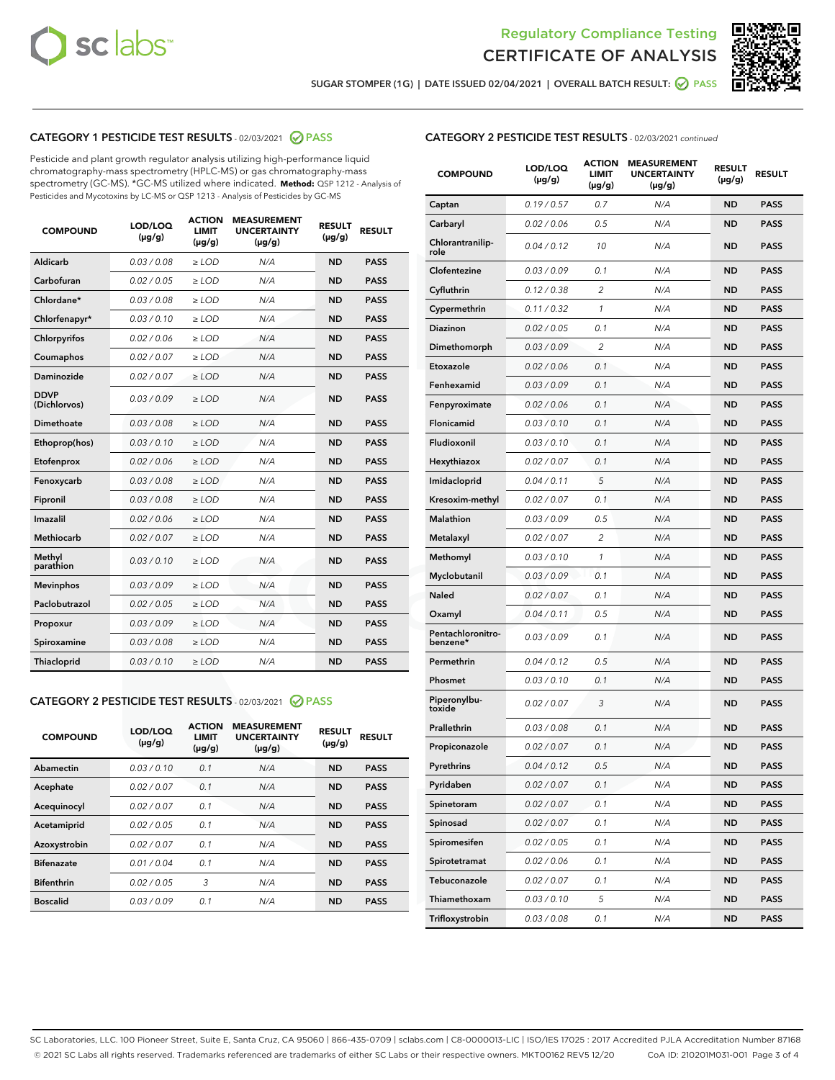



SUGAR STOMPER (1G) | DATE ISSUED 02/04/2021 | OVERALL BATCH RESULT: ● PASS

# CATEGORY 1 PESTICIDE TEST RESULTS - 02/03/2021 2 PASS

Pesticide and plant growth regulator analysis utilizing high-performance liquid chromatography-mass spectrometry (HPLC-MS) or gas chromatography-mass spectrometry (GC-MS). \*GC-MS utilized where indicated. **Method:** QSP 1212 - Analysis of Pesticides and Mycotoxins by LC-MS or QSP 1213 - Analysis of Pesticides by GC-MS

| <b>COMPOUND</b>             | LOD/LOQ<br>$(\mu g/g)$ | <b>ACTION</b><br><b>LIMIT</b><br>$(\mu q/q)$ | <b>MEASUREMENT</b><br><b>UNCERTAINTY</b><br>$(\mu g/g)$ | <b>RESULT</b><br>$(\mu g/g)$ | <b>RESULT</b> |
|-----------------------------|------------------------|----------------------------------------------|---------------------------------------------------------|------------------------------|---------------|
| Aldicarb                    | 0.03 / 0.08            | $\ge$ LOD                                    | N/A                                                     | <b>ND</b>                    | <b>PASS</b>   |
| Carbofuran                  | 0.02/0.05              | $>$ LOD                                      | N/A                                                     | <b>ND</b>                    | <b>PASS</b>   |
| Chlordane*                  | 0.03 / 0.08            | $\ge$ LOD                                    | N/A                                                     | <b>ND</b>                    | <b>PASS</b>   |
| Chlorfenapyr*               | 0.03/0.10              | $\ge$ LOD                                    | N/A                                                     | <b>ND</b>                    | <b>PASS</b>   |
| Chlorpyrifos                | 0.02 / 0.06            | $\ge$ LOD                                    | N/A                                                     | <b>ND</b>                    | <b>PASS</b>   |
| Coumaphos                   | 0.02 / 0.07            | $>$ LOD                                      | N/A                                                     | <b>ND</b>                    | <b>PASS</b>   |
| <b>Daminozide</b>           | 0.02 / 0.07            | $\ge$ LOD                                    | N/A                                                     | <b>ND</b>                    | <b>PASS</b>   |
| <b>DDVP</b><br>(Dichlorvos) | 0.03/0.09              | $\ge$ LOD                                    | N/A                                                     | <b>ND</b>                    | <b>PASS</b>   |
| <b>Dimethoate</b>           | 0.03 / 0.08            | $\ge$ LOD                                    | N/A                                                     | <b>ND</b>                    | <b>PASS</b>   |
| Ethoprop(hos)               | 0.03/0.10              | $\ge$ LOD                                    | N/A                                                     | <b>ND</b>                    | <b>PASS</b>   |
| Etofenprox                  | 0.02 / 0.06            | $\ge$ LOD                                    | N/A                                                     | <b>ND</b>                    | <b>PASS</b>   |
| Fenoxycarb                  | 0.03 / 0.08            | $\ge$ LOD                                    | N/A                                                     | <b>ND</b>                    | <b>PASS</b>   |
| Fipronil                    | 0.03/0.08              | $>$ LOD                                      | N/A                                                     | <b>ND</b>                    | <b>PASS</b>   |
| Imazalil                    | 0.02 / 0.06            | $\ge$ LOD                                    | N/A                                                     | <b>ND</b>                    | <b>PASS</b>   |
| Methiocarb                  | 0.02 / 0.07            | $\ge$ LOD                                    | N/A                                                     | <b>ND</b>                    | <b>PASS</b>   |
| Methyl<br>parathion         | 0.03/0.10              | $>$ LOD                                      | N/A                                                     | <b>ND</b>                    | <b>PASS</b>   |
| <b>Mevinphos</b>            | 0.03/0.09              | $>$ LOD                                      | N/A                                                     | <b>ND</b>                    | <b>PASS</b>   |
| Paclobutrazol               | 0.02 / 0.05            | $\ge$ LOD                                    | N/A                                                     | <b>ND</b>                    | <b>PASS</b>   |
| Propoxur                    | 0.03/0.09              | $\ge$ LOD                                    | N/A                                                     | <b>ND</b>                    | <b>PASS</b>   |
| Spiroxamine                 | 0.03 / 0.08            | $\ge$ LOD                                    | N/A                                                     | <b>ND</b>                    | <b>PASS</b>   |
| <b>Thiacloprid</b>          | 0.03/0.10              | $\ge$ LOD                                    | N/A                                                     | <b>ND</b>                    | <b>PASS</b>   |

### CATEGORY 2 PESTICIDE TEST RESULTS - 02/03/2021 @ PASS

| <b>COMPOUND</b>   | LOD/LOQ<br>$(\mu g/g)$ | <b>ACTION</b><br><b>LIMIT</b><br>$(\mu g/g)$ | <b>MEASUREMENT</b><br><b>UNCERTAINTY</b><br>$(\mu g/g)$ | <b>RESULT</b><br>$(\mu g/g)$ | <b>RESULT</b> |
|-------------------|------------------------|----------------------------------------------|---------------------------------------------------------|------------------------------|---------------|
| Abamectin         | 0.03/0.10              | 0.1                                          | N/A                                                     | <b>ND</b>                    | <b>PASS</b>   |
| Acephate          | 0.02/0.07              | 0.1                                          | N/A                                                     | <b>ND</b>                    | <b>PASS</b>   |
| Acequinocyl       | 0.02/0.07              | 0.1                                          | N/A                                                     | <b>ND</b>                    | <b>PASS</b>   |
| Acetamiprid       | 0.02/0.05              | 0.1                                          | N/A                                                     | <b>ND</b>                    | <b>PASS</b>   |
| Azoxystrobin      | 0.02/0.07              | 0.1                                          | N/A                                                     | <b>ND</b>                    | <b>PASS</b>   |
| <b>Bifenazate</b> | 0.01/0.04              | 0.1                                          | N/A                                                     | <b>ND</b>                    | <b>PASS</b>   |
| <b>Bifenthrin</b> | 0.02/0.05              | 3                                            | N/A                                                     | <b>ND</b>                    | <b>PASS</b>   |
| <b>Boscalid</b>   | 0.03/0.09              | 0.1                                          | N/A                                                     | <b>ND</b>                    | <b>PASS</b>   |

# CATEGORY 2 PESTICIDE TEST RESULTS - 02/03/2021 continued

| <b>COMPOUND</b>               | LOD/LOQ<br>(µg/g) | <b>ACTION</b><br>LIMIT<br>$(\mu g/g)$ | <b>MEASUREMENT</b><br><b>UNCERTAINTY</b><br>(µg/g) | <b>RESULT</b><br>(µg/g) | <b>RESULT</b> |
|-------------------------------|-------------------|---------------------------------------|----------------------------------------------------|-------------------------|---------------|
| Captan                        | 0.19/0.57         | 0.7                                   | N/A                                                | ND                      | <b>PASS</b>   |
| Carbaryl                      | 0.02 / 0.06       | 0.5                                   | N/A                                                | ND                      | <b>PASS</b>   |
| Chlorantranilip-<br>role      | 0.04 / 0.12       | 10                                    | N/A                                                | <b>ND</b>               | <b>PASS</b>   |
| Clofentezine                  | 0.03 / 0.09       | 0.1                                   | N/A                                                | <b>ND</b>               | <b>PASS</b>   |
| Cyfluthrin                    | 0.12 / 0.38       | 2                                     | N/A                                                | ND                      | <b>PASS</b>   |
| Cypermethrin                  | 0.11/0.32         | 1                                     | N/A                                                | ND                      | <b>PASS</b>   |
| Diazinon                      | 0.02 / 0.05       | 0.1                                   | N/A                                                | <b>ND</b>               | <b>PASS</b>   |
| Dimethomorph                  | 0.03/0.09         | 2                                     | N/A                                                | ND                      | <b>PASS</b>   |
| Etoxazole                     | 0.02 / 0.06       | 0.1                                   | N/A                                                | <b>ND</b>               | <b>PASS</b>   |
| Fenhexamid                    | 0.03/0.09         | 0.1                                   | N/A                                                | ND                      | <b>PASS</b>   |
| Fenpyroximate                 | 0.02 / 0.06       | 0.1                                   | N/A                                                | ND                      | <b>PASS</b>   |
| Flonicamid                    | 0.03 / 0.10       | 0.1                                   | N/A                                                | ND                      | <b>PASS</b>   |
| Fludioxonil                   | 0.03/0.10         | 0.1                                   | N/A                                                | <b>ND</b>               | <b>PASS</b>   |
| Hexythiazox                   | 0.02 / 0.07       | 0.1                                   | N/A                                                | ND                      | <b>PASS</b>   |
| Imidacloprid                  | 0.04 / 0.11       | 5                                     | N/A                                                | ND                      | <b>PASS</b>   |
| Kresoxim-methyl               | 0.02 / 0.07       | 0.1                                   | N/A                                                | ND                      | <b>PASS</b>   |
| Malathion                     | 0.03/0.09         | 0.5                                   | N/A                                                | ND                      | <b>PASS</b>   |
| Metalaxyl                     | 0.02 / 0.07       | $\overline{2}$                        | N/A                                                | ND                      | <b>PASS</b>   |
| Methomyl                      | 0.03 / 0.10       | 1                                     | N/A                                                | <b>ND</b>               | <b>PASS</b>   |
| Myclobutanil                  | 0.03/0.09         | 0.1                                   | N/A                                                | ND                      | <b>PASS</b>   |
| Naled                         | 0.02 / 0.07       | 0.1                                   | N/A                                                | ND                      | <b>PASS</b>   |
| Oxamyl                        | 0.04 / 0.11       | 0.5                                   | N/A                                                | <b>ND</b>               | <b>PASS</b>   |
| Pentachloronitro-<br>benzene* | 0.03 / 0.09       | 0.1                                   | N/A                                                | <b>ND</b>               | <b>PASS</b>   |
| Permethrin                    | 0.04 / 0.12       | 0.5                                   | N/A                                                | <b>ND</b>               | <b>PASS</b>   |
| Phosmet                       | 0.03 / 0.10       | 0.1                                   | N/A                                                | ND                      | <b>PASS</b>   |
| Piperonylbu-<br>toxide        | 0.02 / 0.07       | 3                                     | N/A                                                | <b>ND</b>               | <b>PASS</b>   |
| Prallethrin                   | 0.03 / 0.08       | 0.1                                   | N/A                                                | <b>ND</b>               | <b>PASS</b>   |
| Propiconazole                 | 0.02 / 0.07       | 0.1                                   | N/A                                                | ND                      | <b>PASS</b>   |
| Pyrethrins                    | 0.04 / 0.12       | 0.5                                   | N/A                                                | ND                      | PASS          |
| Pyridaben                     | 0.02 / 0.07       | 0.1                                   | N/A                                                | <b>ND</b>               | <b>PASS</b>   |
| Spinetoram                    | 0.02 / 0.07       | 0.1                                   | N/A                                                | <b>ND</b>               | <b>PASS</b>   |
| Spinosad                      | 0.02 / 0.07       | 0.1                                   | N/A                                                | <b>ND</b>               | <b>PASS</b>   |
| Spiromesifen                  | 0.02 / 0.05       | 0.1                                   | N/A                                                | <b>ND</b>               | <b>PASS</b>   |
| Spirotetramat                 | 0.02 / 0.06       | 0.1                                   | N/A                                                | <b>ND</b>               | <b>PASS</b>   |
| Tebuconazole                  | 0.02 / 0.07       | 0.1                                   | N/A                                                | <b>ND</b>               | <b>PASS</b>   |
| Thiamethoxam                  | 0.03 / 0.10       | 5                                     | N/A                                                | <b>ND</b>               | <b>PASS</b>   |
| Trifloxystrobin               | 0.03 / 0.08       | 0.1                                   | N/A                                                | <b>ND</b>               | <b>PASS</b>   |